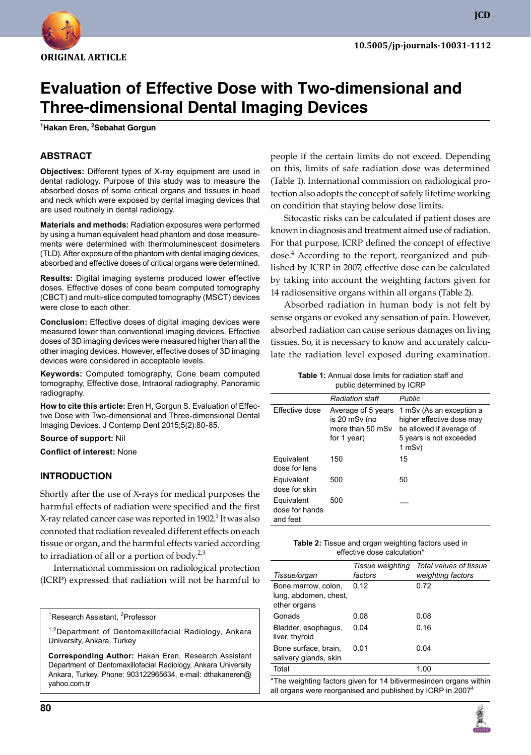

**JCD**

# **Evaluation of Effective Dose with Two-dimensional and Three-dimensional Dental Imaging Devices**

**1 Hakan Eren, 2 Sebahat Gorgun**

### **ABSTRACT**

**Objectives:** Different types of X-ray equipment are used in dental radiology. Purpose of this study was to measure the absorbed doses of some critical organs and tissues in head and neck which were exposed by dental imaging devices that are used routinely in dental radiology.

**Materials and methods:** Radiation exposures were performed by using a human equivalent head phantom and dose measurements were determined with thermoluminescent dosimeters (TLD). After exposure of the phantom with dental imaging devices, absorbed and effective doses of critical organs were determined.

**Results:** Digital imaging systems produced lower effective doses. Effective doses of cone beam computed tomography (CBCT) and multi-slice computed tomography (MSCT) devices were close to each other.

**Conclusion:** Effective doses of digital imaging devices were measured lower than conventional imaging devices. Effective doses of 3D imaging devices were measured higher than all the other imaging devices. However, effective doses of 3D imaging devices were considered in acceptable levels.

**Keywords:** Computed tomography, Cone beam computed tomography, Effective dose, Intraoral radiography, Panoramic radiography.

**How to cite this article:** Eren H, Gorgun S. Evaluation of Effective Dose with Two-dimensional and Three-dimensional Dental Imaging Devices. J Contemp Dent 2015;5(2):80-85.

**Source of support:** Nil

**Conflict of interest:** None

#### **Introduction**

Shortly after the use of X-rays for medical purposes the harmful effects of radiation were specified and the first X-ray related cancer case was reported in 1902. $^1$  It was also connoted that radiation revealed different effects on each tissue or organ, and the harmful effects varied according to irradiation of all or a portion of body. $2,3$ 

International commission on radiological protection (ICRP) expressed that radiation will not be harmful to

<sup>1</sup>Research Assistant, <sup>2</sup>Professor

<sup>1,2</sup>Department of Dentomaxillofacial Radiology, Ankara University, Ankara, Turkey

**Corresponding Author:** Hakan Eren, Research Assistant Department of Dentomaxillofacial Radiology, Ankara University Ankara, Turkey, Phone: 903122965634, e-mail: dthakaneren@ yahoo.com.tr

people if the certain limits do not exceed. Depending on this, limits of safe radiation dose was determined (Table 1). International commission on radiological protection also adopts the concept of safely lifetime working on condition that staying below dose limits.

Sitocastic risks can be calculated if patient doses are known in diagnosis and treatment aimed use of radiation. For that purpose, ICRP defined the concept of effective dose.4 According to the report, reorganized and published by ICRP in 2007, effective dose can be calculated by taking into account the weighting factors given for 14 radiosensitive organs within all organs (Table 2).

Absorbed radiation in human body is not felt by sense organs or evoked any sensation of pain. However, absorbed radiation can cause serious damages on living tissues. So, it is necessary to know and accurately calculate the radiation level exposed during examination.

> **Table 1:** Annual dose limits for radiation staff and public determined by ICRP

|                                          | <b>Radiation staff</b>                                                 | <b>Public</b>                                                                                                               |
|------------------------------------------|------------------------------------------------------------------------|-----------------------------------------------------------------------------------------------------------------------------|
| Effective dose                           | Average of 5 years<br>is 20 mSv (no<br>more than 50 mSv<br>for 1 year) | 1 mSv (As an exception a<br>higher effective dose may<br>be allowed if average of<br>5 years is not exceeded<br>$1$ mSv $)$ |
| Equivalent<br>dose for lens              | 150                                                                    | 15                                                                                                                          |
| Equivalent<br>dose for skin              | 500                                                                    | 50                                                                                                                          |
| Equivalent<br>dose for hands<br>and feet | 500                                                                    |                                                                                                                             |

| <b>Table 2:</b> Tissue and organ weighting factors used in |
|------------------------------------------------------------|
| effective dose calculation*                                |

| Tissue/organ                                                 | Tissue weighting<br>factors | Total values of tissue<br>weighting factors |
|--------------------------------------------------------------|-----------------------------|---------------------------------------------|
| Bone marrow, colon.<br>lung, abdomen, chest,<br>other organs | 0.12                        | 0.72                                        |
| Gonads                                                       | 0.08                        | 0.08                                        |
| Bladder, esophagus,<br>liver, thyroid                        | 0.04                        | 0.16                                        |
| Bone surface, brain.<br>salivary glands, skin                | 0.01                        | 0.04                                        |
| Total                                                        |                             | 1.00                                        |
|                                                              |                             |                                             |

\*The weighting factors given for 14 bitivermesinden organs within all organs were reorganised and published by ICRP in 2007<sup>4</sup>

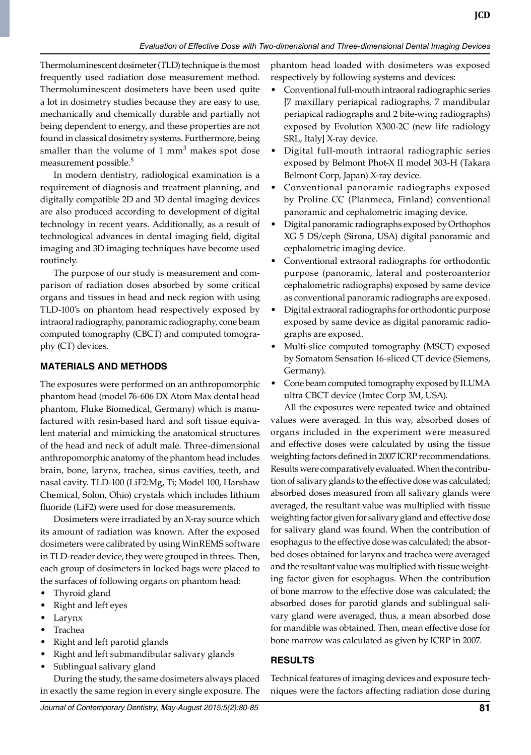Thermoluminescent dosimeter (TLD) technique is the most frequently used radiation dose measurement method. Thermoluminescent dosimeters have been used quite a lot in dosimetry studies because they are easy to use, mechanically and chemically durable and partially not being dependent to energy, and these properties are not found in classical dosimetry systems. Furthermore, being smaller than the volume of 1 mm<sup>3</sup> makes spot dose measurement possible.<sup>5</sup>

In modern dentistry, radiological examination is a requirement of diagnosis and treatment planning, and digitally compatible 2D and 3D dental imaging devices are also produced according to development of digital technology in recent years. Additionally, as a result of technological advances in dental imaging field, digital imaging and 3D imaging techniques have become used routinely.

The purpose of our study is measurement and comparison of radiation doses absorbed by some critical organs and tissues in head and neck region with using TLD-100's on phantom head respectively exposed by intraoral radiography, panoramic radiography, cone beam computed tomography (CBCT) and computed tomography (CT) devices.

## **MATERIALS AND METHODs**

The exposures were performed on an anthropomorphic phantom head (model 76-606 DX Atom Max dental head phantom, Fluke Biomedical, Germany) which is manufactured with resin-based hard and soft tissue equivalent material and mimicking the anatomical structures of the head and neck of adult male. Three-dimensional anthropomorphic anatomy of the phantom head includes brain, bone, larynx, trachea, sinus cavities, teeth, and nasal cavity. TLD-100 (LiF2:Mg, Ti; Model 100, Harshaw Chemical, Solon, Ohio) crystals which includes lithium fluoride (LiF2) were used for dose measurements.

Dosimeters were irradiated by an X-ray source which its amount of radiation was known. After the exposed dosimeters were calibrated by using WinREMS software in TLD-reader device, they were grouped in threes. Then, each group of dosimeters in locked bags were placed to the surfaces of following organs on phantom head:

- Thyroid gland
- Right and left eyes
- larynx
- **Trachea**
- Right and left parotid glands
- Right and left submandibular salivary glands
- Sublingual salivary gland

During the study, the same dosimeters always placed in exactly the same region in every single exposure. The phantom head loaded with dosimeters was exposed respectively by following systems and devices:

- Conventional full-mouth intraoral radiographic series [7 maxillary periapical radiographs, 7 mandibular periapical radiographs and 2 bite-wing radiographs) exposed by Evolution X300-2C (new life radiology SRL, Italy] X-ray device.
- Digital full-mouth intraoral radiographic series exposed by Belmont Phot-X II model 303-H (Takara Belmont Corp, Japan) X-ray device.
- Conventional panoramic radiographs exposed by Proline CC (Planmeca, Finland) conventional panoramic and cephalometric imaging device.
- Digital panoramic radiographs exposed by Orthophos XG 5 DS/ceph (Sirona, USA) digital panoramic and cephalometric imaging device.
- Conventional extraoral radiographs for orthodontic purpose (panoramic, lateral and posteroanterior cephalometric radiographs) exposed by same device as conventional panoramic radiographs are exposed.
- Digital extraoral radiographs for orthodontic purpose exposed by same device as digital panoramic radiographs are exposed.
- Multi-slice computed tomography (MSCT) exposed by Somatom Sensation 16-sliced CT device (Siemens, Germany).
- Cone beam computed tomography exposed by ILUMA ultra CBCT device (Imtec Corp 3M, USA).

All the exposures were repeated twice and obtained values were averaged. In this way, absorbed doses of organs included in the experiment were measured and effective doses were calculated by using the tissue weighting factors defined in 2007 ICRP recommendations. Results were comparatively evaluated. When the contribution of salivary glands to the effective dose was calculated; absorbed doses measured from all salivary glands were averaged, the resultant value was multiplied with tissue weighting factor given for salivary gland and effective dose for salivary gland was found. When the contribution of esophagus to the effective dose was calculated; the absorbed doses obtained for larynx and trachea were averaged and the resultant value was multiplied with tissue weighting factor given for esophagus. When the contribution of bone marrow to the effective dose was calculated; the absorbed doses for parotid glands and sublingual salivary gland were averaged, thus, a mean absorbed dose for mandible was obtained. Then, mean effective dose for bone marrow was calculated as given by ICRP in 2007.

## **RESULTS**

Technical features of imaging devices and exposure techniques were the factors affecting radiation dose during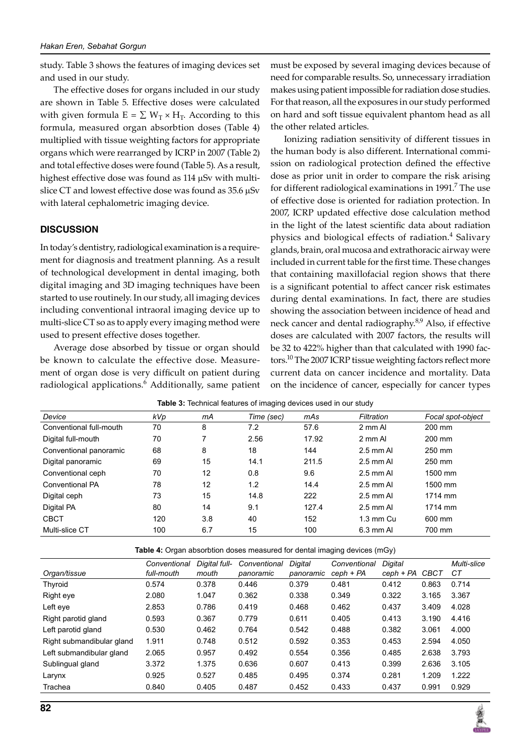study. Table 3 shows the features of imaging devices set and used in our study.

The effective doses for organs included in our study are shown in table 5. Effective doses were calculated with given formula  $E = \sum W_T \times H_T$ . According to this formula, measured organ absorbtion doses (Table 4) multiplied with tissue weighting factors for appropriate organs which were rearranged by ICRP in 2007 (Table 2) and total effective doses were found (Table 5). As a result, highest effective dose was found as 114 µSv with multislice CT and lowest effective dose was found as 35.6  $\mu$ Sv with lateral cephalometric imaging device.

#### **DISCUSSION**

In today's dentistry, radiological examination is a requirement for diagnosis and treatment planning. As a result of technological development in dental imaging, both digital imaging and 3D imaging techniques have been started to use routinely. In our study, all imaging devices including conventional intraoral imaging device up to multi-slice CT so as to apply every imaging method were used to present effective doses together.

Average dose absorbed by tissue or organ should be known to calculate the effective dose. Measurement of organ dose is very difficult on patient during radiological applications.<sup>6</sup> Additionally, same patient must be exposed by several imaging devices because of need for comparable results. So, unnecessary irradiation makes using patient impossible for radiation dose studies. For that reason, all the exposures in our study performed on hard and soft tissue equivalent phantom head as all the other related articles.

Ionizing radiation sensitivity of different tissues in the human body is also different. International commission on radiological protection defined the effective dose as prior unit in order to compare the risk arising for different radiological examinations in 1991.<sup>7</sup> The use of effective dose is oriented for radiation protection. In 2007, ICRP updated effective dose calculation method in the light of the latest scientific data about radiation physics and biological effects of radiation.<sup>4</sup> Salivary glands, brain, oral mucosa and extrathoracic airway were included in current table for the first time. These changes that containing maxillofacial region shows that there is a significant potential to affect cancer risk estimates during dental examinations. In fact, there are studies showing the association between incidence of head and neck cancer and dental radiography.<sup>8,9</sup> Also, if effective doses are calculated with 2007 factors, the results will be 32 to 422% higher than that calculated with 1990 factors.<sup>10</sup> The 2007 ICRP tissue weighting factors reflect more current data on cancer incidence and mortality. Data on the incidence of cancer, especially for cancer types

|  |  |  | Table 3: Technical features of imaging devices used in our study |  |  |  |
|--|--|--|------------------------------------------------------------------|--|--|--|
|--|--|--|------------------------------------------------------------------|--|--|--|

| Device                  | kVp | mА  | Time (sec) | mAs   | Filtration    | Focal spot-object |
|-------------------------|-----|-----|------------|-------|---------------|-------------------|
| Conventional full-mouth | 70  | 8   | 7.2        | 57.6  | 2 mm Al       | 200 mm            |
| Digital full-mouth      | 70  |     | 2.56       | 17.92 | 2 mm Al       | 200 mm            |
| Conventional panoramic  | 68  | 8   | 18         | 144   | $2.5$ mm Al   | 250 mm            |
| Digital panoramic       | 69  | 15  | 14.1       | 211.5 | $2.5$ mm Al   | 250 mm            |
| Conventional ceph       | 70  | 12  | 0.8        | 9.6   | $2.5$ mm Al   | 1500 mm           |
| Conventional PA         | 78  | 12  | 1.2        | 14.4  | $2.5$ mm Al   | 1500 mm           |
| Digital ceph            | 73  | 15  | 14.8       | 222   | $2.5$ mm Al   | 1714 mm           |
| Digital PA              | 80  | 14  | 9.1        | 127.4 | $2.5$ mm Al   | 1714 mm           |
| <b>CBCT</b>             | 120 | 3.8 | 40         | 152   | $1.3$ mm $Cu$ | 600 mm            |
| Multi-slice CT          | 100 | 6.7 | 15         | 100   | 6.3 mm AI     | 700 mm            |

**Table 4:** Organ absorbtion doses measured for dental imaging devices (mGy)

| Organ/tissue              | Conventional<br>full-mouth | Digital full-<br>mouth | Conventional<br>panoramic | Digital<br>panoramic | Conventional<br>$ceph + PA$ | Digital<br>ceph + PA | CBCT  | Multi-slice<br>CТ |
|---------------------------|----------------------------|------------------------|---------------------------|----------------------|-----------------------------|----------------------|-------|-------------------|
| Thyroid                   | 0.574                      | 0.378                  | 0.446                     | 0.379                | 0.481                       | 0.412                | 0.863 | 0.714             |
| Right eye                 | 2.080                      | 1.047                  | 0.362                     | 0.338                | 0.349                       | 0.322                | 3.165 | 3.367             |
| Left eye                  | 2.853                      | 0.786                  | 0.419                     | 0.468                | 0.462                       | 0.437                | 3.409 | 4.028             |
| Right parotid gland       | 0.593                      | 0.367                  | 0.779                     | 0.611                | 0.405                       | 0.413                | 3.190 | 4.416             |
| Left parotid gland        | 0.530                      | 0.462                  | 0.764                     | 0.542                | 0.488                       | 0.382                | 3.061 | 4.000             |
| Right submandibular gland | 1.911                      | 0.748                  | 0.512                     | 0.592                | 0.353                       | 0.453                | 2.594 | 4.050             |
| Left submandibular gland  | 2.065                      | 0.957                  | 0.492                     | 0.554                | 0.356                       | 0.485                | 2.638 | 3.793             |
| Sublingual gland          | 3.372                      | 1.375                  | 0.636                     | 0.607                | 0.413                       | 0.399                | 2.636 | 3.105             |
| Larynx                    | 0.925                      | 0.527                  | 0.485                     | 0.495                | 0.374                       | 0.281                | 1.209 | 1.222             |
| Trachea                   | 0.840                      | 0.405                  | 0.487                     | 0.452                | 0.433                       | 0.437                | 0.991 | 0.929             |

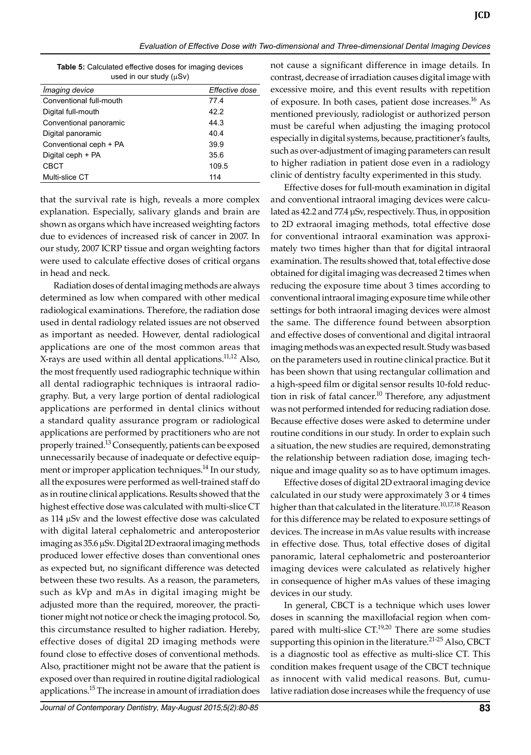**Table 5:** Calculated effective doses for imaging devices used in our study  $(\mu Sv)$ 

| <i>Imaging device</i>   | Effective dose |
|-------------------------|----------------|
| Conventional full-mouth | 77.4           |
| Digital full-mouth      | 42.2           |
| Conventional panoramic  | 44.3           |
| Digital panoramic       | 40.4           |
| Conventional ceph + PA  | 39.9           |
| Digital ceph + PA       | 35.6           |
| CBCT                    | 109.5          |
| Multi-slice CT          | 114            |

that the survival rate is high, reveals a more complex explanation. Especially, salivary glands and brain are shown as organs which have increased weighting factors due to evidences of increased risk of cancer in 2007. In our study, 2007 ICRP tissue and organ weighting factors were used to calculate effective doses of critical organs in head and neck.

Radiation doses of dental imaging methods are always determined as low when compared with other medical radiological examinations. Therefore, the radiation dose used in dental radiology related issues are not observed as important as needed. However, dental radiological applications are one of the most common areas that X-rays are used within all dental applications.<sup>11,12</sup> Also, the most frequently used radiographic technique within all dental radiographic techniques is intraoral radiography. But, a very large portion of dental radiological applications are performed in dental clinics without a standard quality assurance program or radiological applications are performed by practitioners who are not properly trained.13 Consequently, patients can be exposed unnecessarily because of inadequate or defective equipment or improper application techniques.<sup>14</sup> In our study, all the exposures were performed as well-trained staff do as in routine clinical applications. Results showed that the highest effective dose was calculated with multi-slice CT as 114 µSv and the lowest effective dose was calculated with digital lateral cephalometric and anteroposterior imaging as 35.6 µSv. Digital 2D extraoral imaging methods produced lower effective doses than conventional ones as expected but, no significant difference was detected between these two results. As a reason, the parameters, such as kVp and mAs in digital imaging might be adjusted more than the required, moreover, the practitioner might not notice or check the imaging protocol. So, this circumstance resulted to higher radiation. Hereby, effective doses of digital 2D imaging methods were found close to effective doses of conventional methods. Also, practitioner might not be aware that the patient is exposed over than required in routine digital radiological applications.15 The increase in amount of irradiation does

not cause a significant difference in image details. In contrast, decrease of irradiation causes digital image with excessive moire, and this event results with repetition of exposure. In both cases, patient dose increases.<sup>16</sup> As mentioned previously, radiologist or authorized person must be careful when adjusting the imaging protocol especially in digital systems, because, practitioner's faults, such as over-adjustment of imaging parameters can result to higher radiation in patient dose even in a radiology clinic of dentistry faculty experimented in this study.

Effective doses for full-mouth examination in digital and conventional intraoral imaging devices were calculated as 42.2 and 77.4 μSv, respectively. Thus, in opposition to 2D extraoral imaging methods, total effective dose for conventional intraoral examination was approximately two times higher than that for digital intraoral examination. The results showed that, total effective dose obtained for digital imaging was decreased 2 times when reducing the exposure time about 3 times according to conventional intraoral imaging exposure time while other settings for both intraoral imaging devices were almost the same. The difference found between absorption and effective doses of conventional and digital intraoral imaging methods was an expected result. Study was based on the parameters used in routine clinical practice. But it has been shown that using rectangular collimation and a high-speed film or digital sensor results 10-fold reduction in risk of fatal cancer.<sup>10</sup> Therefore, any adjustment was not performed intended for reducing radiation dose. Because effective doses were asked to determine under routine conditions in our study. In order to explain such a situation, the new studies are required, demonstrating the relationship between radiation dose, imaging technique and image quality so as to have optimum images.

Effective doses of digital 2D extraoral imaging device calculated in our study were approximately 3 or 4 times higher than that calculated in the literature.<sup>10,17,18</sup> Reason for this difference may be related to exposure settings of devices. The increase in mAs value results with increase in effective dose. Thus, total effective doses of digital panoramic, lateral cephalometric and posteroanterior imaging devices were calculated as relatively higher in consequence of higher mAs values of these imaging devices in our study.

In general, CBCT is a technique which uses lower doses in scanning the maxillofacial region when compared with multi-slice  $CT^{19,20}$  There are some studies supporting this opinion in the literature.<sup>21-25</sup> Also, CBCT is a diagnostic tool as effective as multi-slice CT. This condition makes frequent usage of the CBCT technique as innocent with valid medical reasons. But, cumulative radiation dose increases while the frequency of use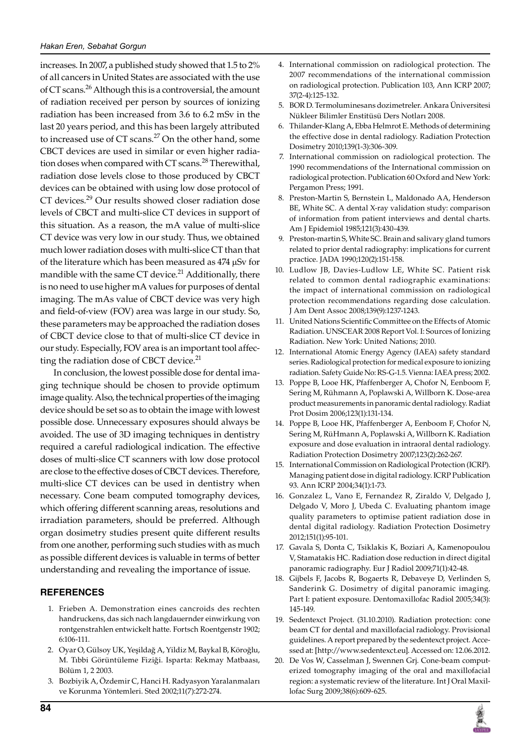increases. In 2007, a published study showed that 1.5 to 2% of all cancers in United States are associated with the use of CT scans.26 Although this is a controversial, the amount of radiation received per person by sources of ionizing radiation has been increased from 3.6 to 6.2 mSv in the last 20 years period, and this has been largely attributed to increased use of  $CT$  scans.<sup>27</sup> On the other hand, some CBCT devices are used in similar or even higher radiation doses when compared with CT scans.<sup>28</sup> Therewithal, radiation dose levels close to those produced by CBCT devices can be obtained with using low dose protocol of CT devices.<sup>29</sup> Our results showed closer radiation dose levels of CBCT and multi-slice CT devices in support of this situation. As a reason, the mA value of multi-slice CT device was very low in our study. Thus, we obtained much lower radiation doses with multi-slice CT than that of the literature which has been measured as 474 µSv for mandible with the same CT device. $^{21}$  Additionally, there is no need to use higher mA values for purposes of dental imaging. The mAs value of CBCT device was very high and field-of-view (FOV) area was large in our study. So, these parameters may be approached the radiation doses of CBCT device close to that of multi-slice CT device in our study. Especially, FOV area is an important tool affecting the radiation dose of CBCT device.<sup>21</sup>

In conclusion, the lowest possible dose for dental imaging technique should be chosen to provide optimum image quality. Also, the technical properties of the imaging device should be set so as to obtain the image with lowest possible dose. Unnecessary exposures should always be avoided. The use of 3D imaging techniques in dentistry required a careful radiological indication. The effective doses of multi-slice CT scanners with low dose protocol are close to the effective doses of CBCT devices. Therefore, multi-slice CT devices can be used in dentistry when necessary. Cone beam computed tomography devices, which offering different scanning areas, resolutions and irradiation parameters, should be preferred. Although organ dosimetry studies present quite different results from one another, performing such studies with as much as possible different devices is valuable in terms of better understanding and revealing the importance of issue.

#### **REFERENCES**

- 1. Frieben A. Demonstration eines cancroids des rechten handruckens, das sich nach langdauernder einwirkung von rontgenstrahlen entwickelt hatte. Fortsch Roentgenstr 1902; 6:106-111.
- 2. Oyar O, Gülsoy UK, Yeşildağ A, Yildiz M, Baykal B, Köroğlu, M. Tıbbi Görüntüleme Fiziği. Isparta: Rekmay Matbaası, Bölüm 1, 2 2003.
- 3. Bozbiyik A, Özdemir C, Hanci H. Radyasyon Yaralanmaları ve Korunma Yöntemleri. Sted 2002;11(7):272-274.
- 4. International commission on radiological protection. The 2007 recommendations of the international commission on radiological protection. Publication 103, Ann ICRP 2007; 37(2-4):125-132.
- 5. BOR D. Termoluminesans dozimetreler. Ankara Üniversitesi Nükleer Bilimler Enstitüsü Ders Notları 2008.
- 6. Thilander-Klang A, Ebba Helmrot E. Methods of determining the effective dose in dental radiology. Radiation Protection Dosimetry 2010;139(1-3):306-309.
- 7. International commission on radiological protection. The 1990 recommendations of the International commission on radiological protection. Publication 60 Oxford and New York: Pergamon Press; 1991.
- 8. Preston-Martin S, Bernstein L, Maldonado AA, Henderson BE, White SC. A dental X-ray validation study: comparison of information from patient interviews and dental charts. Am J Epidemiol 1985;121(3):430-439.
- 9. Preston-martin S, White SC. Brain and salivary gland tumors related to prior dental radiography: implications for current practice. JADA 1990;120(2):151-158.
- 10. Ludlow Jb, Davies-Ludlow Le, White Sc. Patient risk related to common dental radiographic examinations: the impact of international commission on radiological protection recommendations regarding dose calculation. J Am Dent Assoc 2008;139(9):1237-1243.
- 11. United Nations Scientific Committee on the Effects of Atomic Radiation. UNSCEAR 2008 Report Vol. I: Sources of Ionizing Radiation. New York: United Nations; 2010.
- 12. International Atomic Energy Agency (IAEA) safety standard series. Radiological protection for medical exposure to ionizing radiation. Safety Guide No: RS-G-1.5. Vienna: IAEA press; 2002.
- 13. Poppe B, Looe HK, Pfaffenberger A, Chofor N, Eenboom F, Sering M, Rühmann A, Poplawski A, Willborn K. Dose-area product measurements in panoramic dental radiology. Radiat Prot Dosim 2006;123(1):131-134.
- 14. Poppe B, Looe Hk, Pfaffenberger A, Eenboom F, Chofor N, Sering M, RüHmann A, Poplawski A, Willborn K. Radiation exposure and dose evaluation in intraoral dental radiology. Radiation Protection Dosimetry 2007;123(2):262-267.
- 15. International Commission on Radiological Protection (ICRP). Managing patient dose in digital radiology. ICRP publication 93. Ann ICRP 2004;34(1):1-73.
- 16. Gonzalez L, Vano E, Fernandez R, Ziraldo V, Delgado J, Delgado V, Moro J, Ubeda C. Evaluating phantom image quality parameters to optimise patient radiation dose in dental digital radiology. Radiation Protection Dosimetry 2012;151(1):95-101.
- 17. Gavala S, Donta C, Tsiklakis K, Boziari A, Kamenopoulou V, Stamatakis HC. Radiation dose reduction in direct digital panoramic radiography. Eur J Radiol 2009;71(1):42-48.
- 18. Gijbels F, Jacobs R, Bogaerts R, Debaveye D, Verlinden S, Sanderink G. Dosimetry of digital panoramic imaging. Part I: patient exposure. Dentomaxillofac Radiol 2005;34(3): 145-149.
- 19. Sedentexct Project. (31.10.2010). Radiation protection: cone beam CT for dental and maxillofacial radiology. Provisional guidelines. A report prepared by the sedentexct project. Accessed at: [http://www.sedentexct.eu]. Accessed on: 12.06.2012.
- 20. De Vos W, Casselman J, Swennen Grj. Cone-beam computerized tomography imaging of the oral and maxillofacial region: a systematic review of the literature. Int J Oral Maxillofac Surg 2009;38(6):609-625.